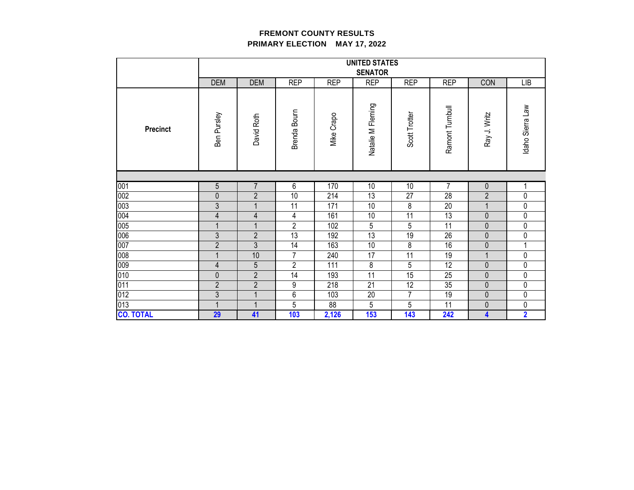|                  |                |                          |                 |            | <b>UNITED STATES</b> |                |                 |                |                  |
|------------------|----------------|--------------------------|-----------------|------------|----------------------|----------------|-----------------|----------------|------------------|
|                  |                |                          |                 |            | <b>SENATOR</b>       |                |                 |                |                  |
|                  | <b>DEM</b>     | <b>DEM</b>               | <b>REP</b>      | <b>REP</b> | <b>REP</b>           | <b>REP</b>     | <b>REP</b>      | CON            | <b>LIB</b>       |
| Precinct         | Ben Pursley    | David Roth               | Brenda Bourn    | Mike Crapo | Natalie M Fleming    | Scott Trotter  | Ramont Turnbull | Ray J. Writz   | Idaho Sierra Law |
|                  |                |                          |                 |            |                      |                |                 |                |                  |
| 001              | 5              | 7                        | $6\overline{6}$ | 170        | 10                   | 10             | 7               | $\pmb{0}$      |                  |
| 002              | $\mathbf 0$    | $\overline{2}$           | 10              | 214        | 13                   | 27             | 28              | $\overline{2}$ | 0                |
| 003              | $\overline{3}$ | $\mathbf{1}$             | 11              | 171        | 10                   | 8              | 20              | 1              | 0                |
| 004              | 4              | $\overline{\mathcal{A}}$ | 4               | 161        | 10                   | 11             | 13              | $\mathbf{0}$   | 0                |
| 005              |                |                          | $\overline{2}$  | 102        | 5                    | 5              | 11              | $\mathbf 0$    | 0                |
| 006              | 3              | $\overline{2}$           | 13              | 192        | 13                   | 19             | 26              | $\mathbf{0}$   | 0                |
| 007              | $\overline{2}$ | $\overline{3}$           | 14              | 163        | 10                   | 8              | 16              | $\mathbf{0}$   |                  |
| 008              |                | 10                       | $\overline{7}$  | 240        | 17                   | 11             | 19              | 1              | 0                |
| 009              | 4              | $\overline{5}$           | $\overline{2}$  | 111        | 8                    | 5              | 12              | $\mathbf{0}$   | 0                |
| 010              | $\mathbf{0}$   | $\overline{2}$           | 14              | 193        | 11                   | 15             | 25              | $\mathbf{0}$   | 0                |
| 011              | $\overline{2}$ | $\overline{2}$           | 9               | 218        | 21                   | 12             | 35              | $\mathbf{0}$   | 0                |
| 012              | $\mathfrak{Z}$ | $\mathbf{1}$             | 6               | 103        | 20                   | $\overline{7}$ | 19              | $\theta$       | 0                |
| 013              |                |                          | 5               | 88         | 5                    | 5              | 11              | $\mathbf 0$    | 0                |
| <b>CO. TOTAL</b> | 29             | 41                       | 103             | 2,126      | 153                  | 143            | 242             | 4              | $\overline{2}$   |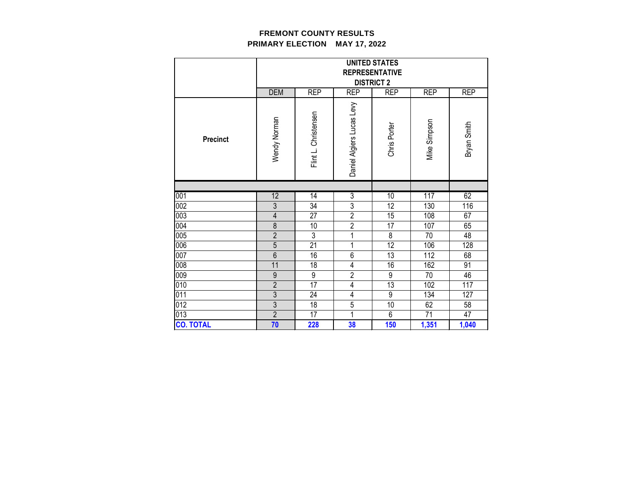|                                 | <b>UNITED STATES</b><br><b>REPRESENTATIVE</b><br><b>DISTRICT 2</b> |                      |                           |                  |                 |             |  |
|---------------------------------|--------------------------------------------------------------------|----------------------|---------------------------|------------------|-----------------|-------------|--|
|                                 | <b>DEM</b>                                                         | <b>REP</b>           | <b>REP</b>                | <b>REP</b>       | <b>REP</b>      | <b>REP</b>  |  |
| <b>Precinct</b>                 | Wendy Norman                                                       | Flint L. Christensen | Daniel Algiers Lucas Levy | Chris Porter     | Mike Simpson    | Bryan Smith |  |
|                                 |                                                                    |                      |                           |                  |                 |             |  |
| 001                             | 12                                                                 | $\overline{14}$      | $\overline{3}$            | 10               | 117             | 62          |  |
| $\overline{002}$                |                                                                    |                      |                           |                  |                 |             |  |
|                                 | $\overline{3}$                                                     | 34                   | $\overline{3}$            | 12               | 130             | 116         |  |
| 003                             | 4                                                                  | 27                   | $\overline{2}$            | 15               | 108             | 67          |  |
|                                 | 8                                                                  | 10                   | $\overline{2}$            | 17               | 107             | 65          |  |
|                                 | $\overline{2}$                                                     | $\overline{3}$       | 1                         | 8                | 70              | 48          |  |
|                                 | $\overline{5}$                                                     | 21                   | 1                         | 12               | 106             | 128         |  |
|                                 | $6\phantom{a}$                                                     | 16                   | 6                         | 13               | 112             | 68          |  |
| 004<br>005<br>006<br>007<br>008 | 11                                                                 | 18                   | 4                         | 16               | 162             | 91          |  |
| 009                             | $\boldsymbol{9}$                                                   | 9                    | $\overline{2}$            | $\boldsymbol{9}$ | 70              | 46          |  |
| 010                             | $\overline{2}$                                                     | $\overline{17}$      | $\overline{\mathbf{4}}$   | 13               | 102             | 117         |  |
| 011                             | $\overline{3}$                                                     | 24                   | 4                         | 9                | 134             | 127         |  |
| $\overline{012}$                | $\overline{3}$                                                     | 18                   | $\overline{5}$            | 10               | 62              | 58          |  |
| 013<br><b>CO. TOTAL</b>         | $\overline{2}$<br>70                                               | $\overline{17}$      | 1                         | $\overline{6}$   | $\overline{71}$ | 47          |  |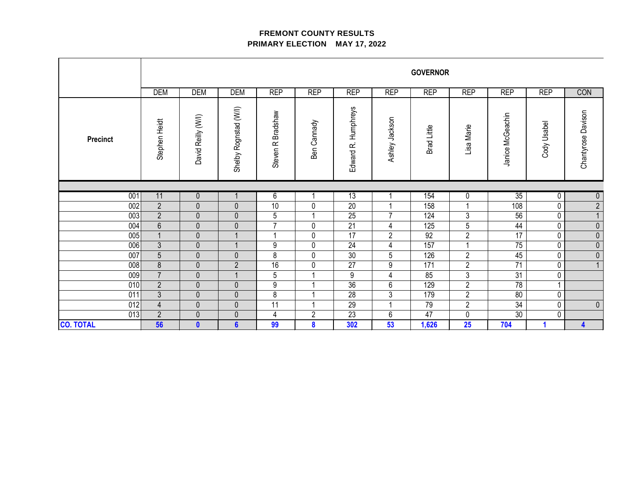|                  |                |                    |                       |                                 |                         |                               |                | <b>GOVERNOR</b> |                |                  |             |                    |
|------------------|----------------|--------------------|-----------------------|---------------------------------|-------------------------|-------------------------------|----------------|-----------------|----------------|------------------|-------------|--------------------|
|                  | <b>DEM</b>     | DEM                | <b>DEM</b>            | <b>REP</b>                      | <b>REP</b>              | <b>REP</b>                    | <b>REP</b>     | <b>REP</b>      | <b>REP</b>     | <b>REP</b>       | <b>REP</b>  | CON                |
| <b>Precinct</b>  | Stephen Heidt  | David Reilly (W/I) | Shelby Rognstad (W/I) | Bradshaw<br>Steven <sub>R</sub> | Ben Cannady             | <b>Humphreys</b><br>Edward R. | Ashley Jackson | Brad Little     | Lisa Marie     | Janice McGeachin | Cody Usabel | Chantyrose Davison |
|                  |                |                    |                       |                                 |                         |                               |                |                 |                |                  |             |                    |
| 001              | 11             | $\overline{0}$     |                       | $6\overline{6}$                 |                         | 13                            | 1              | 154             | $\overline{0}$ | 35               | 0           | $\overline{0}$     |
| 002              | $\overline{2}$ | $\mathbf 0$        | $\pmb{0}$             | 10                              | $\mathbf 0$             | 20                            | 1              | 158             | $\mathbf{1}$   | 108              | 0           | $\overline{2}$     |
| 003              | $\overline{2}$ | $\mathbf 0$        | $\pmb{0}$             | 5                               |                         | 25                            | $\overline{7}$ | 124             | 3              | 56               | 0           | $\mathbf{1}$       |
| 004              | $6\,$          | $\mathbf 0$        | $\pmb{0}$             | $\overline{7}$                  | $\mathbf 0$             | 21                            | 4              | 125             | 5              | 44               | $\pmb{0}$   | $\pmb{0}$          |
| 005              | $\overline{1}$ | $\mathbf 0$        | $\mathbf{1}$          | 1                               | $\mathbf 0$             | 17                            | $\sqrt{2}$     | 92              | $\overline{2}$ | 17               | $\mathbf 0$ | $\pmb{0}$          |
| 006              | $\mathfrak{Z}$ | $\mathbf 0$        | $\mathbf{1}$          | 9                               | $\mathbf 0$             | 24                            | 4              | 157             | $\mathbf{1}$   | 75               | $\mathbf 0$ | $\overline{0}$     |
| 007              | $\overline{5}$ | $\mathbf 0$        | $\pmb{0}$             | 8                               | $\mathbf 0$             | 30                            | 5              | 126             | $\overline{c}$ | 45               | 0           | $\pmb{0}$          |
| 008              | $\bf 8$        | $\pmb{0}$          | $\sqrt{2}$            | 16                              | $\mathbf 0$             | 27                            | 9              | 171             | $\overline{2}$ | 71               | 0           |                    |
| 009              | $\overline{7}$ | $\mathbf 0$        | $\mathbf{1}$          | 5                               |                         | $\boldsymbol{9}$              | 4              | 85              | 3              | 31               | 0           |                    |
| 010              | $\overline{2}$ | $\pmb{0}$          | $\pmb{0}$             | 9                               | $\overline{\mathbf{A}}$ | 36                            | 6              | 129             | $\overline{2}$ | 78               | $\mathbf 1$ |                    |
| 011              | $\mathfrak{Z}$ | $\pmb{0}$          | $\pmb{0}$             | 8                               |                         | 28                            | $\mathsf 3$    | 179             | $\sqrt{2}$     | 80               | 0           |                    |
| 012              | $\overline{4}$ | $\mathbf{0}$       | $\pmb{0}$             | $\overline{11}$                 |                         | $\overline{29}$               | $\overline{ }$ | 79              | $\overline{2}$ | $\overline{34}$  | $\mathbf 0$ | $\pmb{0}$          |
| 013              | $\overline{2}$ | $\mathbf{0}$       | $\mathbf 0$           | $\overline{\mathbf{4}}$         | $\overline{2}$          | $\overline{23}$               | 6              | $\overline{47}$ | $\mathbf 0$    | $\overline{30}$  | $\mathbf 0$ |                    |
| <b>CO. TOTAL</b> | 56             | $\mathbf{0}$       | $6\phantom{a}$        | 99                              | 8                       | 302                           | 53             | 1,626           | 25             | 704              | 1           | 4                  |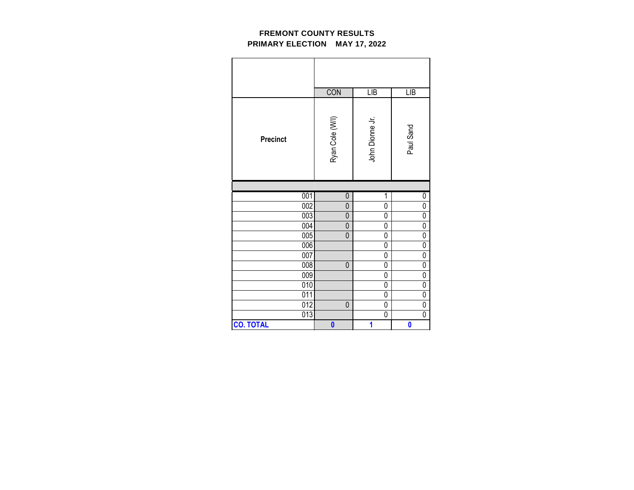|                  | CON                     | LIB                     | LIB                     |
|------------------|-------------------------|-------------------------|-------------------------|
| <b>Precinct</b>  | Ryan Cole (W/I)         | John Dionne Jr.         | Paul Sand               |
|                  |                         |                         |                         |
| 001              | 0                       | 1                       | 0                       |
| 002              | $\mathbf{0}$            | 0                       | $\overline{0}$          |
| 003              | $\mathbf{0}$            | 0                       | $\overline{0}$          |
| 004              | 0                       | 0                       | $\mathbf 0$             |
| 005              | $\overline{0}$          | 0                       | 0                       |
| 006              |                         | 0                       | $\mathbf{0}$            |
| 007              |                         | 0                       | $\mathbf{0}$            |
| 008              | 0                       | 0                       | 0                       |
| 009              |                         | 0                       | $\overline{0}$          |
| $\overline{010}$ |                         | 0                       | $\overline{0}$          |
| 011              |                         | 0                       | $\mathbf 0$             |
| $\overline{012}$ | 0                       | $\overline{0}$          | $\overline{0}$          |
| 013              |                         | 0                       | $\overline{0}$          |
| <b>CO. TOTAL</b> | $\overline{\mathbf{0}}$ | $\overline{\mathbf{1}}$ | $\overline{\mathbf{0}}$ |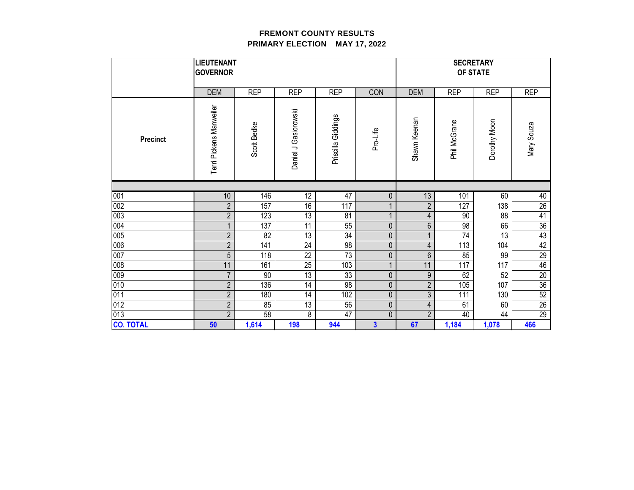|                  | <b>LIEUTENANT</b><br><b>GOVERNOR</b> |             |                      |                    |                | <b>SECRETARY</b><br>OF STATE |              |              |                 |
|------------------|--------------------------------------|-------------|----------------------|--------------------|----------------|------------------------------|--------------|--------------|-----------------|
|                  | <b>DEM</b>                           | <b>REP</b>  | <b>REP</b>           | <b>REP</b>         | CON            | <b>DEM</b>                   | <b>REP</b>   | <b>REP</b>   | <b>REP</b>      |
| <b>Precinct</b>  | Terri Pickens Manweiler              | Scott Bedke | Daniel J Gasiorowski | Priscilla Giddings | Pro-Life       | Shawn Keenan                 | Phil McGrane | Dorothy Moon | Mary Souza      |
|                  |                                      |             |                      |                    |                |                              |              |              |                 |
| 001              | 10                                   | 146         | $\overline{12}$      | 47                 | 0              | 13                           | 101          | 60           | 40              |
| 002              | $\overline{2}$                       | 157         | 16                   | 117                |                | $\overline{2}$               | 127          | 138          | $\overline{26}$ |
| 003              | $\overline{2}$                       | 123         | 13                   | 81                 |                | $\overline{4}$               | 90           | 88           | $\overline{41}$ |
| 004              |                                      | 137         | 11                   | 55                 | $\mathbf 0$    | 6                            | 98           | 66           | $\overline{36}$ |
| 005              | $\overline{2}$                       | 82          | 13                   | 34                 | $\pmb{0}$      |                              | 74           | 13           | 43              |
| 006              | $\overline{2}$                       | 141         | 24                   | 98                 | $\pmb{0}$      | 4                            | 113          | 104          | 42              |
| 007              | 5                                    | 118         | 22                   | 73                 | $\pmb{0}$      | 6                            | 85           | 99           | 29              |
| 008              | 11                                   | 161         | 25                   | 103                |                | 11                           | 117          | 117          | 46              |
| 009              | $\overline{7}$                       | 90          | $\overline{13}$      | 33                 | $\pmb{0}$      | $\boldsymbol{9}$             | 62           | 52           | $\overline{20}$ |
| 010              | $\overline{2}$                       | 136         | 14                   | 98                 | $\pmb{0}$      | $\overline{2}$               | 105          | 107          | 36              |
| 011              | $\overline{2}$                       | 180         | 14                   | 102                | $\mathbf 0$    | 3                            | 111          | 130          | 52              |
| 012              | $\overline{2}$                       | 85          | $\overline{13}$      | 56                 | $\mathbf 0$    | $\overline{\mathbf{4}}$      | 61           | 60           | $\overline{26}$ |
| 013              | $\overline{2}$                       | 58          | 8                    | 47                 | $\mathbf 0$    | $\overline{2}$               | 40           | 44           | 29              |
| <b>CO. TOTAL</b> | 50                                   | 1,614       | 198                  | 944                | 3 <sup>1</sup> | 67                           | 1,184        | 1,078        | 466             |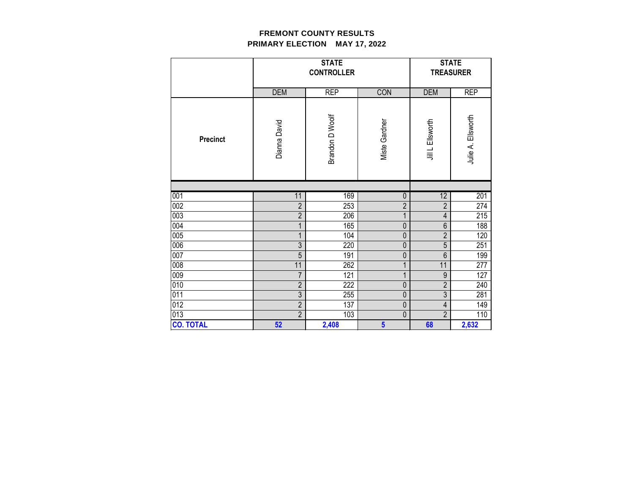|                  |                | <b>STATE</b><br><b>CONTROLLER</b> |                         | <b>STATE</b><br><b>TREASURER</b> |                    |  |
|------------------|----------------|-----------------------------------|-------------------------|----------------------------------|--------------------|--|
|                  | <b>DEM</b>     | <b>REP</b>                        | CON                     | <b>DEM</b>                       | <b>REP</b>         |  |
| <b>Precinct</b>  | Dianna David   | Brandon D Woolf                   | <b>Miste Gardner</b>    | Jill L Ellsworth                 | Julie A. Ellsworth |  |
|                  |                |                                   |                         |                                  |                    |  |
| 001              | 11             | 169                               | $\pmb{0}$               | 12                               | 201                |  |
| 002              | $\overline{2}$ | 253                               | $\overline{2}$          | $\overline{2}$                   | 274                |  |
| 003              | $\overline{2}$ | 206                               | $\mathbf{1}$            | $\overline{4}$                   | 215                |  |
| 004              | 1              | 165                               | $\overline{0}$          | $\boldsymbol{6}$                 | 188                |  |
| 005              | 1              | 104                               | 0                       | $\overline{2}$                   | 120                |  |
| 006              | $\overline{3}$ | 220                               | $\mathbf 0$             | 5                                | 251                |  |
| 007              | 5              | 191                               | 0                       | $6\phantom{1}$                   | 199                |  |
| 008              | 11             | 262                               | 1                       | 11                               | 277                |  |
| 009              | $\overline{7}$ | 121                               | $\overline{1}$          | $\overline{9}$                   | 127                |  |
| 010              | $\overline{2}$ | 222                               | $\pmb{0}$               | $\overline{2}$                   | 240                |  |
| 011              | $\overline{3}$ | 255                               | $\pmb{0}$               | $\overline{3}$                   | 281                |  |
| 012              | $\overline{2}$ | 137                               | $\overline{0}$          | $\overline{4}$                   | 149                |  |
| 013              | $\overline{2}$ | 103                               | $\mathbf 0$             | $\overline{2}$                   | 110                |  |
| <b>CO. TOTAL</b> | 52             | 2,408                             | $\overline{\mathbf{5}}$ | 68                               | 2,632              |  |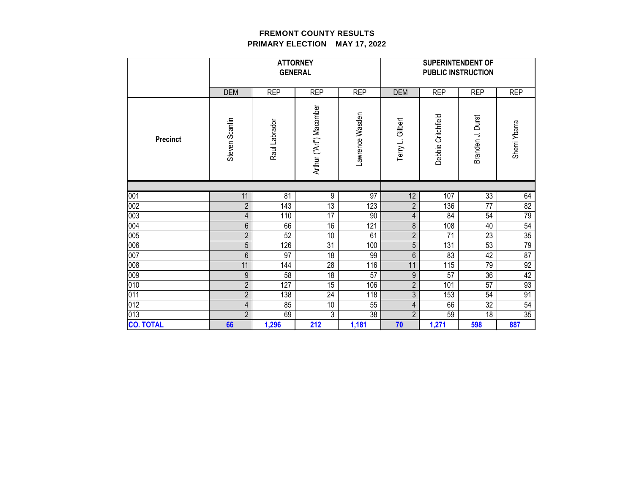|                  | <b>ATTORNEY</b><br><b>GENERAL</b> |               |                         |                 | <b>SUPERINTENDENT OF</b><br><b>PUBLIC INSTRUCTION</b> |                    |                  |                 |  |
|------------------|-----------------------------------|---------------|-------------------------|-----------------|-------------------------------------------------------|--------------------|------------------|-----------------|--|
|                  | <b>DEM</b>                        | <b>REP</b>    | <b>REP</b>              | <b>REP</b>      | <b>DEM</b>                                            | <b>REP</b>         | <b>REP</b>       | <b>REP</b>      |  |
| <b>Precinct</b>  | Steven Scanlin                    | Raul Labrador | Arthur ("Art") Macomber | Lawrence Wasden | Terry L. Gilbert                                      | Debbie Critchfield | Branden J. Durst | Sherri Ybarra   |  |
|                  |                                   |               |                         |                 |                                                       |                    |                  |                 |  |
| 001              | 11                                | 81            | $\overline{9}$          | 97              | $\overline{12}$                                       | 107                | 33               | 64              |  |
| 002              | $\overline{2}$                    | 143           | 13                      | 123             | $\overline{2}$                                        | 136                | $\overline{77}$  | $\overline{82}$ |  |
| 003              | 4                                 | 110           | 17                      | 90              | 4                                                     | 84                 | 54               | 79              |  |
| 004              | 6                                 | 66            | 16                      | 121             | 8                                                     | 108                | 40               | 54              |  |
| 005              | $\overline{2}$                    | 52            | 10                      | 61              | $\overline{2}$                                        | 71                 | 23               | $\overline{35}$ |  |
| 006              | 5                                 | 126           | 31                      | 100             | 5                                                     | 131                | 53               | 79              |  |
| 007              | 6                                 | 97            | 18                      | 99              | 6                                                     | 83                 | 42               | $\overline{87}$ |  |
| 008              | 11                                | 144           | 28                      | 116             | 11                                                    | 115                | 79               | 92              |  |
| 009              | 9                                 | 58            | $\overline{18}$         | 57              | $\boldsymbol{9}$                                      | 57                 | 36               | 42              |  |
| 010              | $\overline{2}$                    | 127           | 15                      | 106             | $\overline{2}$                                        | 101                | 57               | 93              |  |
| 011              | $\overline{2}$                    | 138           | 24                      | 118             | 3                                                     | 153                | 54               | 91              |  |
| 012              | 4                                 | 85            | 10                      | 55              | 4                                                     | 66                 | $\overline{32}$  | 54              |  |
| 013              | $\overline{2}$                    | 69            | 3                       | 38              | $\overline{2}$                                        | 59                 | 18               | 35              |  |
| <b>CO. TOTAL</b> | 66                                | 1,296         | 212                     | 1,181           | 70                                                    | 1,271              | 598              | 887             |  |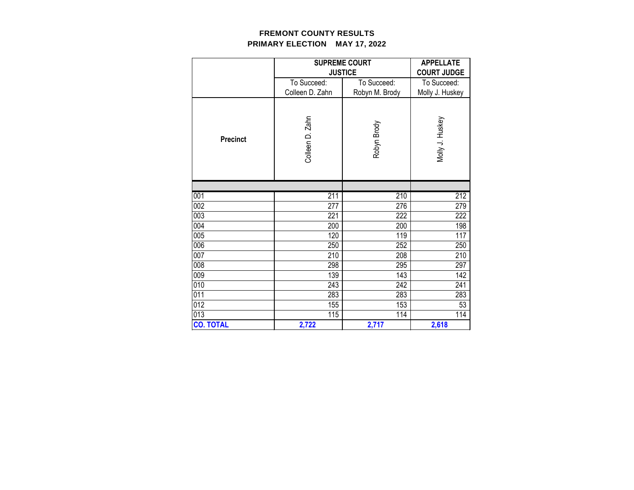|                  |                                | <b>SUPREME COURT</b><br><b>JUSTICE</b> | <b>APPELLATE</b><br><b>COURT JUDGE</b> |  |
|------------------|--------------------------------|----------------------------------------|----------------------------------------|--|
|                  | To Succeed:<br>Colleen D. Zahn | To Succeed:<br>Robyn M. Brody          | To Succeed:<br>Molly J. Huskey         |  |
| <b>Precinct</b>  | Colleen D. Zahn                | Robyn Brody                            | Molly J. Huskey                        |  |
|                  |                                |                                        |                                        |  |
| 001              | 211                            | 210                                    | 212                                    |  |
| 002              | 277                            | 276                                    | 279                                    |  |
| 003              | 221                            | 222                                    | 222                                    |  |
| 004              | 200                            | 200                                    | 198                                    |  |
| 005              | 120                            | 119                                    | 117                                    |  |
| 006              | 250                            | 252                                    | 250                                    |  |
| 007              | 210                            | 208                                    | 210                                    |  |
| 008              | 298                            | 295                                    | 297                                    |  |
| 009              | 139                            | 143                                    | 142                                    |  |
| 010              | 243                            | 242                                    | 241                                    |  |
| 011              | 283                            | 283                                    | 283                                    |  |
| 012              | 155                            | 153                                    | 53                                     |  |
| 013              | 115                            | 114                                    | 114                                    |  |
| <b>CO. TOTAL</b> | 2,722                          | 2,717                                  | 2,618                                  |  |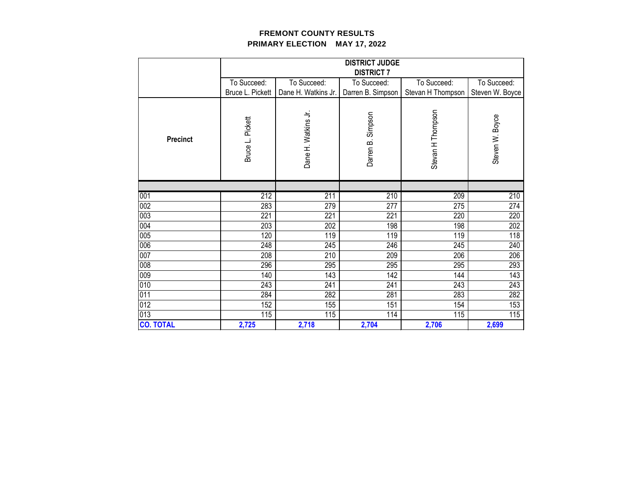|                  |                  | <b>DISTRICT JUDGE</b><br><b>DISTRICT 7</b> |                      |                   |                 |  |  |  |
|------------------|------------------|--------------------------------------------|----------------------|-------------------|-----------------|--|--|--|
|                  | To Succeed:      | To Succeed:                                | To Succeed:          | To Succeed:       | To Succeed:     |  |  |  |
|                  | Bruce L. Pickett | Dane H. Watkins Jr.                        | Darren B. Simpson    | Stevan H Thompson | Steven W. Boyce |  |  |  |
| <b>Precinct</b>  | Bruce L. Pickett | Dane H. Watkins Jr.                        | Simpson<br>Darren B. | Stevan H Thompson | Steven W. Boyce |  |  |  |
|                  |                  |                                            |                      |                   |                 |  |  |  |
| 001              | 212              | 211                                        | 210                  | 209               | 210             |  |  |  |
| 002              | 283              | 279                                        | 277                  | 275               | 274             |  |  |  |
| 003              | 221              | 221                                        | 221                  | 220               | 220             |  |  |  |
| 004              | 203              | 202                                        | 198                  | 198               | 202             |  |  |  |
| 005              | 120              | 119                                        | 119                  | 119               | 118             |  |  |  |
| 006              | 248              | 245                                        | 246                  | 245               | 240             |  |  |  |
| 007              | 208              | 210                                        | 209                  | 206               | 206             |  |  |  |
| 008              | 296              | 295                                        | 295                  | 295               | 293             |  |  |  |
| 009              | 140              | 143                                        | 142                  | 144               | 143             |  |  |  |
| 010              | 243              | 241                                        | 241                  | 243               | 243             |  |  |  |
| 011              | 284              | 282                                        | 281                  | 283               | 282             |  |  |  |
| 012              | 152              | 155                                        | 151                  | 154               | 153             |  |  |  |
| 013              | 115              | 115                                        | 114                  | 115               | 115             |  |  |  |
| <b>CO. TOTAL</b> | 2,725            | 2,718                                      | 2,704                | 2,706             | 2,699           |  |  |  |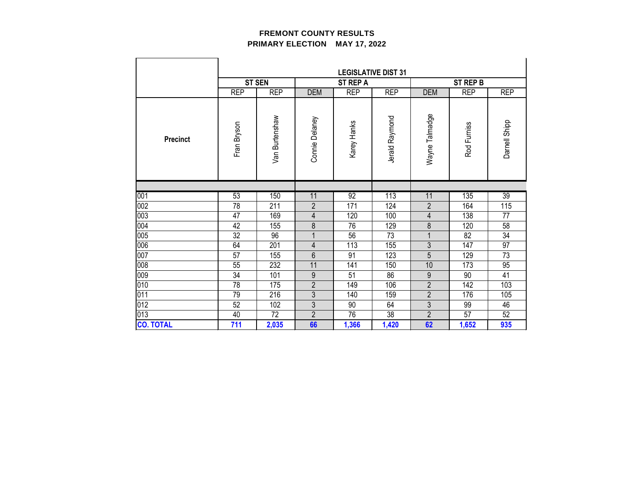|                  | <b>LEGISLATIVE DIST 31</b> |                |                  |                 |                 |                |                 |               |
|------------------|----------------------------|----------------|------------------|-----------------|-----------------|----------------|-----------------|---------------|
|                  |                            | <b>ST SEN</b>  |                  | <b>ST REP A</b> |                 |                | <b>ST REP B</b> |               |
|                  | <b>REP</b>                 | <b>REP</b>     | <b>DEM</b>       | <b>REP</b>      | <b>REP</b>      | <b>DEM</b>     | <b>REP</b>      | <b>REP</b>    |
|                  |                            |                |                  |                 |                 |                |                 |               |
| <b>Precinct</b>  | Fran Bryson                | Van Burtenshaw | Connie Delaney   | Karey Hanks     | Jerald Raymond  | Wayne Talmadge | Rod Furniss     | Darnell Shipp |
|                  |                            |                |                  |                 |                 |                |                 |               |
| 001              | 53                         | 150            | 11               | 92              | 113             | 11             | 135             | 39            |
| 002              | 78                         | 211            | $\overline{2}$   | 171             | 124             | $\overline{2}$ | 164             | 115           |
| 003              | 47                         | 169            | 4                | 120             | 100             | $\overline{4}$ | 138             | 77            |
| 004              | 42                         | 155            | 8                | 76              | 129             | 8              | 120             | 58            |
| 005              | 32                         | 96             |                  | 56              | 73              |                | 82              | 34            |
| 006              | 64                         | 201            | 4                | 113             | 155             | 3              | 147             | 97            |
| 007              | 57                         | 155            | $6\,$            | 91              | 123             | 5              | 129             | 73            |
| 008              | 55                         | 232            | 11               | 141             | 150             | 10             | 173             | 95            |
| 009              | 34                         | 101            | $\boldsymbol{9}$ | 51              | 86              | $\overline{9}$ | 90              | 41            |
| 010              | 78                         | 175            | $\overline{2}$   | 149             | 106             | $\overline{2}$ | 142             | 103           |
| 011              | 79                         | 216            | $\mathfrak{Z}$   | 140             | 159             | $\overline{2}$ | 176             | 105           |
| 012              | 52                         | 102            | $\overline{3}$   | 90              | 64              | $\overline{3}$ | 99              | 46            |
| 013              | 40                         | 72             | $\overline{2}$   | $\overline{76}$ | $\overline{38}$ | $\overline{2}$ | 57              | 52            |
| <b>CO. TOTAL</b> | 711                        | 2,035          | 66               | 1,366           | 1,420           | 62             | 1,652           | 935           |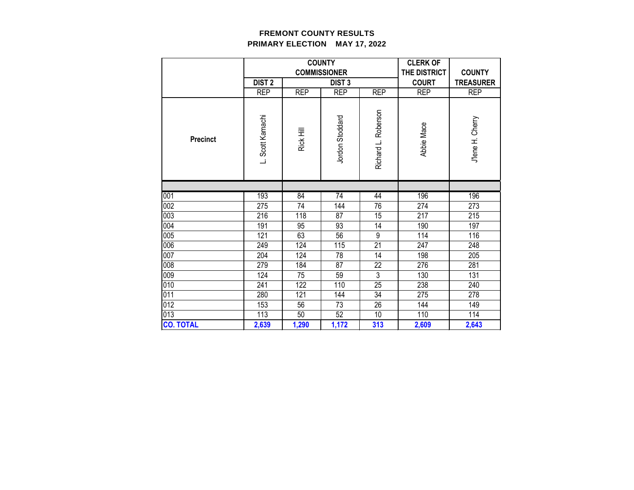|                  |                   |            | <b>COUNTY</b>       |                     | <b>CLERK OF</b> |                  |
|------------------|-------------------|------------|---------------------|---------------------|-----------------|------------------|
|                  |                   |            | <b>COMMISSIONER</b> |                     | THE DISTRICT    | <b>COUNTY</b>    |
|                  | DIST <sub>2</sub> |            | <b>DIST 3</b>       |                     | <b>COURT</b>    | <b>TREASURER</b> |
|                  | <b>REP</b>        | <b>REP</b> | <b>REP</b>          | <b>REP</b>          | <b>REP</b>      | <b>REP</b>       |
| <b>Precinct</b>  | L. Scott Kamachi  | Rick Hill  | Jordon Stoddard     | Richard L. Roberson | Abbie Mace      | J'lene H. Cherry |
|                  |                   |            |                     |                     |                 |                  |
| 001              | 193               | 84         | $\overline{74}$     | 44                  | 196             | 196              |
| 002              | 275               | 74         | 144                 | 76                  | 274             | 273              |
| 003              | 216               | 118        | 87                  | 15                  | 217             | 215              |
| 004              | 191               | 95         | 93                  | 14                  | 190             | 197              |
| 005              | 121               | 63         | 56                  | 9                   | 114             | 116              |
| 006              | 249               | 124        | 115                 | 21                  | 247             | 248              |
| 007              | 204               | 124        | 78                  | 14                  | 198             | 205              |
| 008              | 279               | 184        | 87                  | 22                  | 276             | 281              |
| 009              | 124               | 75         | 59                  | $\overline{3}$      | 130             | 131              |
| 010              | 241               | 122        | 110                 | 25                  | 238             | 240              |
| 011              | 280               | 121        | 144                 | 34                  | 275             | 278              |
| 012              | 153               | 56         | $\overline{73}$     | $\overline{26}$     | 144             | 149              |
| 013              | 113               | 50         | 52                  | 10                  | 110             | 114              |
| <b>CO. TOTAL</b> | 2,639             | 1,290      | 1,172               | 313                 | 2,609           | 2,643            |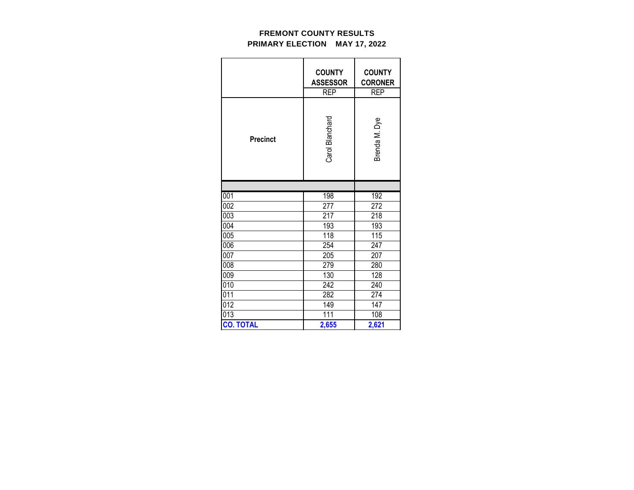|                  | <b>COUNTY</b><br><b>ASSESSOR</b><br><b>REP</b> | <b>COUNTY</b><br><b>CORONER</b><br><b>REP</b> |  |  |
|------------------|------------------------------------------------|-----------------------------------------------|--|--|
| <b>Precinct</b>  | Carol Blanchard                                | Brenda M. Dye                                 |  |  |
|                  |                                                |                                               |  |  |
| 001              | 198                                            | 192                                           |  |  |
| 002              | 277                                            | 272                                           |  |  |
| 003              | 217                                            | 218                                           |  |  |
| 004              | 193                                            | 193                                           |  |  |
| 005              | 118                                            | 115                                           |  |  |
| 006              | 254                                            | 247                                           |  |  |
| 007              | 205                                            | 207                                           |  |  |
| 008              | 279                                            | 280                                           |  |  |
| 009              | 130                                            | 128                                           |  |  |
| 010              | 242                                            | 240                                           |  |  |
| 011              | 282                                            | 274                                           |  |  |
| 012              | 149                                            | 147                                           |  |  |
| $\overline{013}$ | 111                                            | 108                                           |  |  |
| <b>CO. TOTAL</b> | 2,655                                          | 2,621                                         |  |  |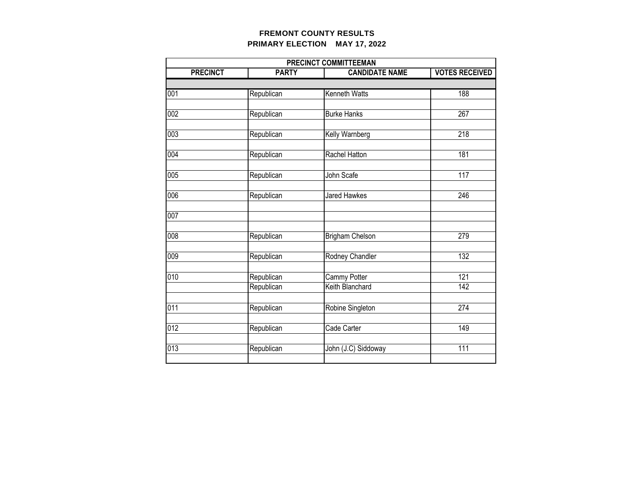| PRECINCT COMMITTEEMAN |              |                       |                       |  |  |  |  |
|-----------------------|--------------|-----------------------|-----------------------|--|--|--|--|
| <b>PRECINCT</b>       | <b>PARTY</b> | <b>CANDIDATE NAME</b> | <b>VOTES RECEIVED</b> |  |  |  |  |
|                       |              |                       |                       |  |  |  |  |
| 001                   | Republican   | Kenneth Watts         | 188                   |  |  |  |  |
|                       |              |                       |                       |  |  |  |  |
| 002                   | Republican   | <b>Burke Hanks</b>    | 267                   |  |  |  |  |
|                       |              |                       |                       |  |  |  |  |
| 003                   | Republican   | Kelly Warnberg        | $\overline{218}$      |  |  |  |  |
| 004                   | Republican   | Rachel Hatton         | 181                   |  |  |  |  |
|                       |              |                       |                       |  |  |  |  |
| 005                   | Republican   | John Scafe            | 117                   |  |  |  |  |
|                       |              |                       |                       |  |  |  |  |
| 006                   | Republican   | Jared Hawkes          | 246                   |  |  |  |  |
|                       |              |                       |                       |  |  |  |  |
| 007                   |              |                       |                       |  |  |  |  |
|                       |              |                       |                       |  |  |  |  |
| $\overline{008}$      | Republican   | Brigham Chelson       | 279                   |  |  |  |  |
| 009                   | Republican   | Rodney Chandler       | 132                   |  |  |  |  |
|                       |              |                       |                       |  |  |  |  |
| 010                   | Republican   | <b>Cammy Potter</b>   | 121                   |  |  |  |  |
|                       | Republican   | Keith Blanchard       | $\overline{142}$      |  |  |  |  |
|                       |              |                       |                       |  |  |  |  |
| $\overline{011}$      | Republican   | Robine Singleton      | 274                   |  |  |  |  |
|                       |              |                       |                       |  |  |  |  |
| $\overline{012}$      | Republican   | Cade Carter           | 149                   |  |  |  |  |
|                       |              |                       |                       |  |  |  |  |
| $\overline{013}$      | Republican   | John (J.C) Siddoway   | 111                   |  |  |  |  |
|                       |              |                       |                       |  |  |  |  |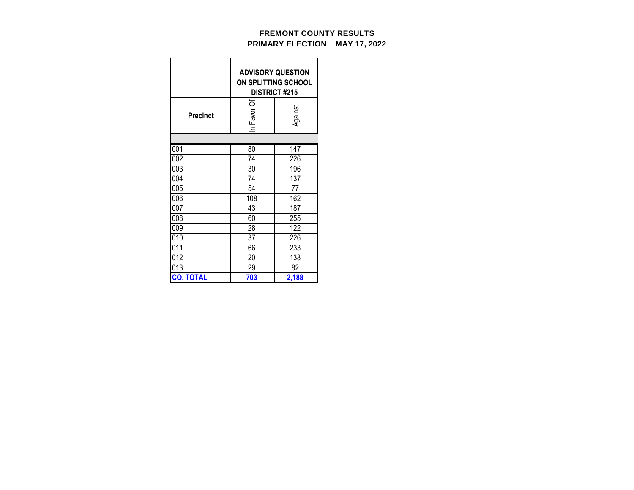|                  | <b>ADVISORY QUESTION</b><br>ON SPLITTING SCHOOL<br><b>DISTRICT #215</b> |         |  |  |  |  |
|------------------|-------------------------------------------------------------------------|---------|--|--|--|--|
| <b>Precinct</b>  | In Favor Of                                                             | Against |  |  |  |  |
|                  |                                                                         |         |  |  |  |  |
| 001              | $\overline{80}$                                                         | 147     |  |  |  |  |
| 002              | 74                                                                      | 226     |  |  |  |  |
| 003              | 30                                                                      | 196     |  |  |  |  |
| 004              | 74                                                                      | 137     |  |  |  |  |
| 005              | 54                                                                      | 77      |  |  |  |  |
| 006              | 108                                                                     | 162     |  |  |  |  |
| 007              | 43                                                                      | 187     |  |  |  |  |
| 008              | 60                                                                      | 255     |  |  |  |  |
| 009              | 28                                                                      | 122     |  |  |  |  |
| 010              | 37                                                                      | 226     |  |  |  |  |
| 011              | 66                                                                      | 233     |  |  |  |  |
| 012              | 20                                                                      | 138     |  |  |  |  |
| 013              | 29                                                                      | 82      |  |  |  |  |
| <b>CO. TOTAL</b> | 703                                                                     | 2,188   |  |  |  |  |